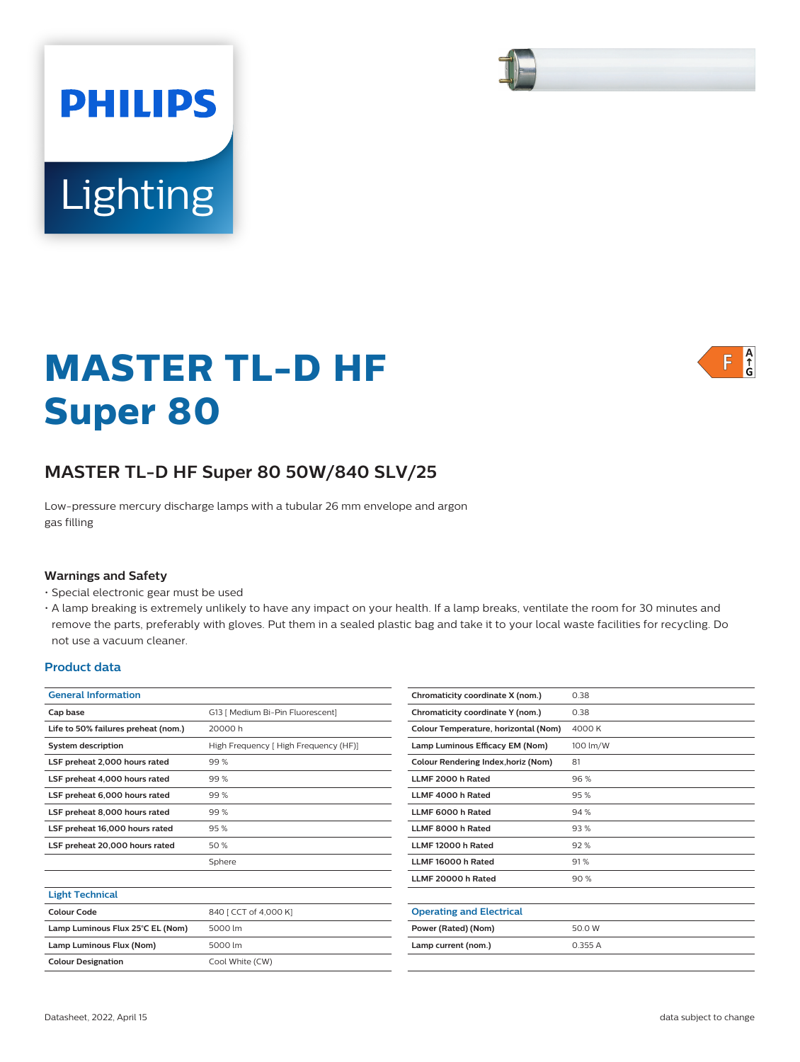# Lighting

**PHILIPS** 

# **MASTER TL-D HF Super 80**



Low-pressure mercury discharge lamps with a tubular 26 mm envelope and argon gas filling

#### **Warnings and Safety**

- Special electronic gear must be used
- A lamp breaking is extremely unlikely to have any impact on your health. If a lamp breaks, ventilate the room for 30 minutes and remove the parts, preferably with gloves. Put them in a sealed plastic bag and take it to your local waste facilities for recycling. Do not use a vacuum cleaner.

#### **Product data**

| <b>General Information</b>          |                                      | Chromaticity coordinate X (nom.)     | 0.38     |
|-------------------------------------|--------------------------------------|--------------------------------------|----------|
| Cap base                            | G13   Medium Bi-Pin Fluorescent]     | Chromaticity coordinate Y (nom.)     | 0.38     |
| Life to 50% failures preheat (nom.) | 20000h                               | Colour Temperature, horizontal (Nom) | 4000 K   |
| <b>System description</b>           | High Frequency [High Frequency (HF)] | Lamp Luminous Efficacy EM (Nom)      | 100 lm/W |
| LSF preheat 2,000 hours rated       | 99%                                  | Colour Rendering Index, horiz (Nom)  | 81       |
| LSF preheat 4,000 hours rated       | 99%                                  | LLMF 2000 h Rated                    | 96 %     |
| LSF preheat 6,000 hours rated       | 99%                                  | LLMF 4000 h Rated                    | 95%      |
| LSF preheat 8,000 hours rated       | 99%                                  | LLMF 6000 h Rated                    | 94 %     |
| LSF preheat 16,000 hours rated      | 95%                                  | LLMF 8000 h Rated                    | 93%      |
| LSF preheat 20,000 hours rated      | 50%                                  | LLMF 12000 h Rated                   | 92%      |
|                                     | Sphere                               | LLMF 16000 h Rated                   | 91%      |
|                                     |                                      | LLMF 20000 h Rated                   | 90%      |
| <b>Light Technical</b>              |                                      |                                      |          |
| Colour Code                         | 840   CCT of 4,000 K]                | <b>Operating and Electrical</b>      |          |
| Lamp Luminous Flux 25°C EL (Nom)    | 5000 lm                              | Power (Rated) (Nom)                  | 50.0 W   |
| Lamp Luminous Flux (Nom)            | 5000 lm                              | Lamp current (nom.)                  | 0.355 A  |
| <b>Colour Designation</b>           | Cool White (CW)                      |                                      |          |
|                                     |                                      |                                      |          |

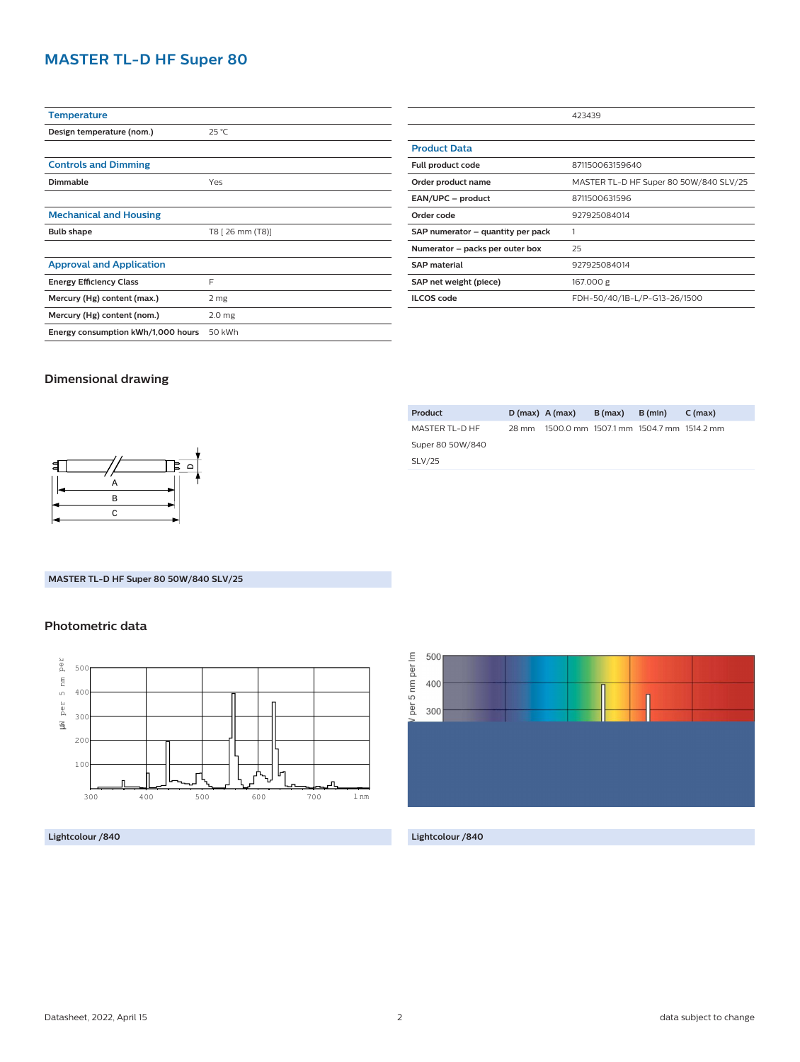# **MASTER TL-D HF Super 80**

| <b>Temperature</b>                 |                   |
|------------------------------------|-------------------|
| Design temperature (nom.)          | $25^{\circ}$ C    |
|                                    |                   |
| <b>Controls and Dimming</b>        |                   |
| Dimmable                           | Yes               |
|                                    |                   |
| <b>Mechanical and Housing</b>      |                   |
| <b>Bulb shape</b>                  | T8 [ 26 mm (T8)]  |
|                                    |                   |
| <b>Approval and Application</b>    |                   |
| <b>Energy Efficiency Class</b>     | F                 |
| Mercury (Hg) content (max.)        | 2 mg              |
| Mercury (Hg) content (nom.)        | 2.0 <sub>mg</sub> |
| Energy consumption kWh/1,000 hours | 50 kWh            |

| 423439                                 |  |
|----------------------------------------|--|
|                                        |  |
|                                        |  |
| 871150063159640                        |  |
| MASTER TL-D HF Super 80 50W/840 SLV/25 |  |
| 8711500631596                          |  |
| 927925084014                           |  |
|                                        |  |
| 25                                     |  |
| 927925084014                           |  |
| 167.000 g                              |  |
| FDH-50/40/1B-L/P-G13-26/1500           |  |
|                                        |  |

#### **Dimensional drawing**



### **Product D (max) A (max) B (max) B (min) C (max)** MASTER TL-D HF Super 80 50W/840 SLV/25 28 mm 1500.0 mm 1507.1 mm 1504.7 mm 1514.2 mm

#### **MASTER TL-D HF Super 80 50W/840 SLV/25**

#### **Photometric data**



**Lightcolour /840 Lightcolour /840**